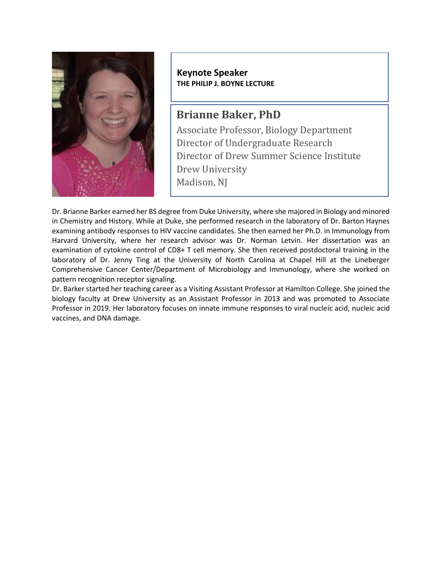

**Keynote Speaker THE PHILIP J. BOYNE LECTURE**

## **Brianne Baker, PhD**

Associate Professor, Biology Department Director of Undergraduate Research Director of Drew Summer Science Institute Drew University Madison, NJ

Dr. Brianne Barker earned her BS degree from Duke University, where she majored in Biology and minored in Chemistry and History. While at Duke, she performed research in the laboratory of Dr. Barton Haynes examining antibody responses to HIV vaccine candidates. She then earned her Ph.D. in Immunology from Harvard University, where her research advisor was Dr. Norman Letvin. Her dissertation was an examination of cytokine control of CD8+ T cell memory. She then received postdoctoral training in the laboratory of Dr. Jenny Ting at the University of North Carolina at Chapel Hill at the Lineberger Comprehensive Cancer Center/Department of Microbiology and Immunology, where she worked on pattern recognition receptor signaling.

Dr. Barker started her teaching career as a Visiting Assistant Professor at Hamilton College. She joined the biology faculty at Drew University as an Assistant Professor in 2013 and was promoted to Associate Professor in 2019. Her laboratory focuses on innate immune responses to viral nucleic acid, nucleic acid vaccines, and DNA damage.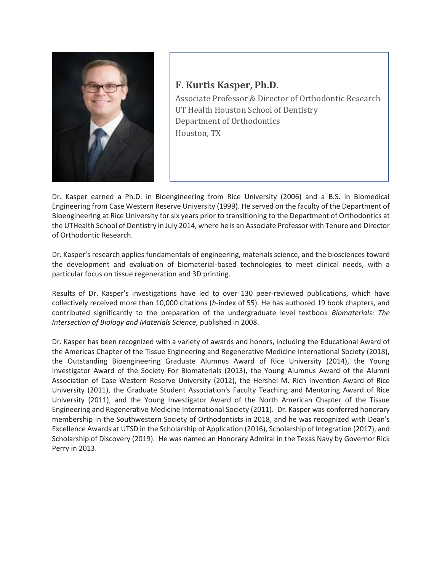

## **F. Kurtis Kasper, Ph.D.**

Associate Professor & Director of Orthodontic Research UT Health Houston School of Dentistry Department of Orthodontics Houston, TX

Dr. Kasper earned a Ph.D. in Bioengineering from Rice University (2006) and a B.S. in Biomedical Engineering from Case Western Reserve University (1999). He served on the faculty of the Department of Bioengineering at Rice University for six years prior to transitioning to the Department of Orthodontics at the UTHealth School of Dentistry in July 2014, where he is an Associate Professor with Tenure and Director of Orthodontic Research.

Dr. Kasper's research applies fundamentals of engineering, materials science, and the biosciences toward the development and evaluation of biomaterial-based technologies to meet clinical needs, with a particular focus on tissue regeneration and 3D printing.

Results of Dr. Kasper's investigations have led to over 130 peer-reviewed publications, which have collectively received more than 10,000 citations (*h*-index of 55). He has authored 19 book chapters, and contributed significantly to the preparation of the undergraduate level textbook *Biomaterials: The Intersection of Biology and Materials Science*, published in 2008.

Dr. Kasper has been recognized with a variety of awards and honors, including the Educational Award of the Americas Chapter of the Tissue Engineering and Regenerative Medicine International Society (2018), the Outstanding Bioengineering Graduate Alumnus Award of Rice University (2014), the Young Investigator Award of the Society For Biomaterials (2013), the Young Alumnus Award of the Alumni Association of Case Western Reserve University (2012), the Hershel M. Rich Invention Award of Rice University (2011), the Graduate Student Association's Faculty Teaching and Mentoring Award of Rice University (2011), and the Young Investigator Award of the North American Chapter of the Tissue Engineering and Regenerative Medicine International Society (2011). Dr. Kasper was conferred honorary membership in the Southwestern Society of Orthodontists in 2018, and he was recognized with Dean's Excellence Awards at UTSD in the Scholarship of Application (2016), Scholarship of Integration (2017), and Scholarship of Discovery (2019). He was named an Honorary Admiral in the Texas Navy by Governor Rick Perry in 2013.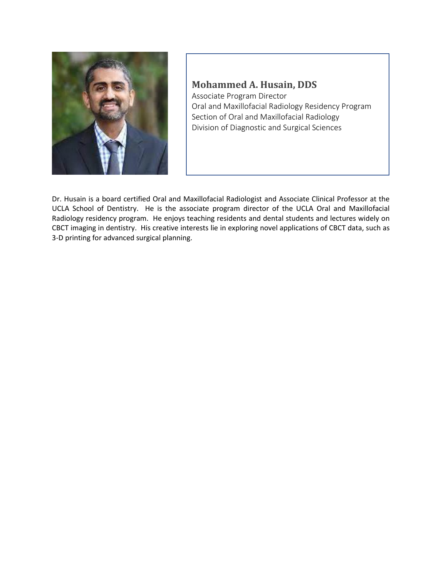

## **Mohammed A. Husain, DDS**

Associate Program Director Oral and Maxillofacial Radiology Residency Program Section of Oral and Maxillofacial Radiology Division of Diagnostic and Surgical Sciences

Dr. Husain is a board certified Oral and Maxillofacial Radiologist and Associate Clinical Professor at the UCLA School of Dentistry. He is the associate program director of the UCLA Oral and Maxillofacial Radiology residency program. He enjoys teaching residents and dental students and lectures widely on CBCT imaging in dentistry. His creative interests lie in exploring novel applications of CBCT data, such as 3-D printing for advanced surgical planning.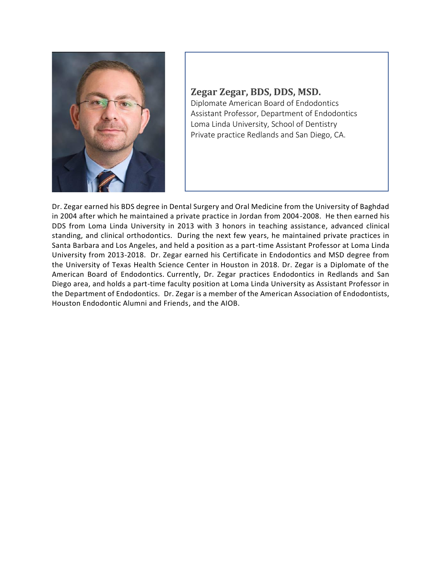

## **Zegar Zegar, BDS, DDS, MSD.** Diplomate American Board of Endodontics Assistant Professor, Department of Endodontics Loma Linda University, School of Dentistry Private practice Redlands and San Diego, CA.

Dr. Zegar earned his BDS degree in Dental Surgery and Oral Medicine from the University of Baghdad in 2004 after which he maintained a private practice in Jordan from 2004-2008. He then earned his DDS from Loma Linda University in 2013 with 3 honors in teaching assistance, advanced clinical standing, and clinical orthodontics. During the next few years, he maintained private practices in Santa Barbara and Los Angeles, and held a position as a part-time Assistant Professor at Loma Linda University from 2013-2018. Dr. Zegar earned his Certificate in Endodontics and MSD degree from the University of Texas Health Science Center in Houston in 2018. Dr. Zegar is a Diplomate of the American Board of Endodontics. Currently, Dr. Zegar practices Endodontics in Redlands and San Diego area, and holds a part-time faculty position at Loma Linda University as Assistant Professor in the Department of Endodontics. Dr. Zegar is a member of the American Association of Endodontists, Houston Endodontic Alumni and Friends, and the AIOB.